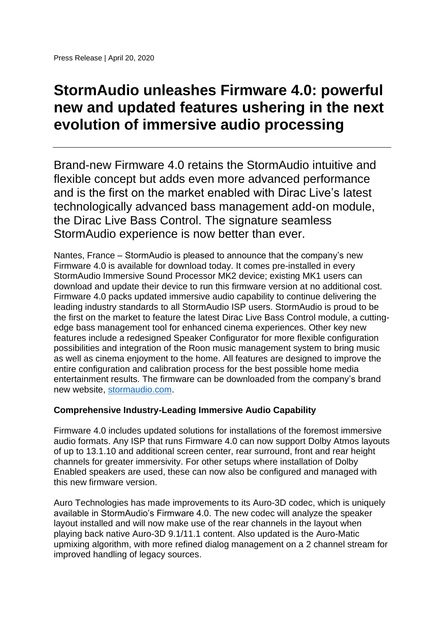# **StormAudio unleashes Firmware 4.0: powerful new and updated features ushering in the next evolution of immersive audio processing**

Brand-new Firmware 4.0 retains the StormAudio intuitive and flexible concept but adds even more advanced performance and is the first on the market enabled with Dirac Live's latest technologically advanced bass management add-on module, the Dirac Live Bass Control. The signature seamless StormAudio experience is now better than ever.

Nantes, France – StormAudio is pleased to announce that the company's new Firmware 4.0 is available for download today. It comes pre-installed in every StormAudio Immersive Sound Processor MK2 device; existing MK1 users can download and update their device to run this firmware version at no additional cost. Firmware 4.0 packs updated immersive audio capability to continue delivering the leading industry standards to all StormAudio ISP users. StormAudio is proud to be the first on the market to feature the latest Dirac Live Bass Control module, a cuttingedge bass management tool for enhanced cinema experiences. Other key new features include a redesigned Speaker Configurator for more flexible configuration possibilities and integration of the Roon music management system to bring music as well as cinema enjoyment to the home. All features are designed to improve the entire configuration and calibration process for the best possible home media entertainment results. The firmware can be downloaded from the company's brand new website, [stormaudio.com.](http://www.stormaudio.com/)

## **Comprehensive Industry-Leading Immersive Audio Capability**

Firmware 4.0 includes updated solutions for installations of the foremost immersive audio formats. Any ISP that runs Firmware 4.0 can now support Dolby Atmos layouts of up to 13.1.10 and additional screen center, rear surround, front and rear height channels for greater immersivity. For other setups where installation of Dolby Enabled speakers are used, these can now also be configured and managed with this new firmware version.

Auro Technologies has made improvements to its Auro-3D codec, which is uniquely available in StormAudio's Firmware 4.0. The new codec will analyze the speaker layout installed and will now make use of the rear channels in the layout when playing back native Auro-3D 9.1/11.1 content. Also updated is the Auro-Matic upmixing algorithm, with more refined dialog management on a 2 channel stream for improved handling of legacy sources.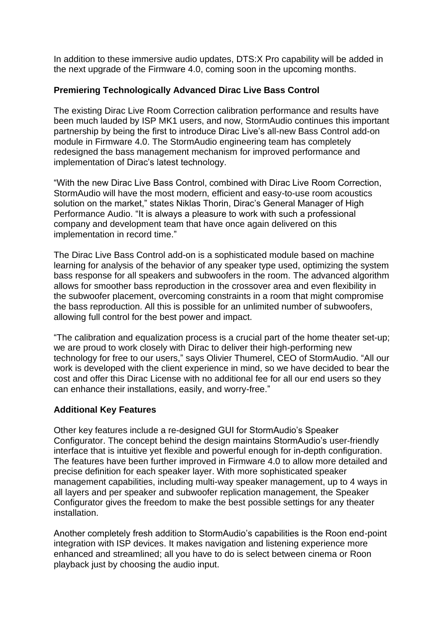In addition to these immersive audio updates, DTS:X Pro capability will be added in the next upgrade of the Firmware 4.0, coming soon in the upcoming months.

## **Premiering Technologically Advanced Dirac Live Bass Control**

The existing Dirac Live Room Correction calibration performance and results have been much lauded by ISP MK1 users, and now, StormAudio continues this important partnership by being the first to introduce Dirac Live's all-new Bass Control add-on module in Firmware 4.0. The StormAudio engineering team has completely redesigned the bass management mechanism for improved performance and implementation of Dirac's latest technology.

"With the new Dirac Live Bass Control, combined with Dirac Live Room Correction, StormAudio will have the most modern, efficient and easy-to-use room acoustics solution on the market," states Niklas Thorin, Dirac's General Manager of High Performance Audio. "It is always a pleasure to work with such a professional company and development team that have once again delivered on this implementation in record time."

The Dirac Live Bass Control add-on is a sophisticated module based on machine learning for analysis of the behavior of any speaker type used, optimizing the system bass response for all speakers and subwoofers in the room. The advanced algorithm allows for smoother bass reproduction in the crossover area and even flexibility in the subwoofer placement, overcoming constraints in a room that might compromise the bass reproduction. All this is possible for an unlimited number of subwoofers, allowing full control for the best power and impact.

"The calibration and equalization process is a crucial part of the home theater set-up; we are proud to work closely with Dirac to deliver their high-performing new technology for free to our users," says Olivier Thumerel, CEO of StormAudio. "All our work is developed with the client experience in mind, so we have decided to bear the cost and offer this Dirac License with no additional fee for all our end users so they can enhance their installations, easily, and worry-free."

### **Additional Key Features**

Other key features include a re-designed GUI for StormAudio's Speaker Configurator. The concept behind the design maintains StormAudio's user-friendly interface that is intuitive yet flexible and powerful enough for in-depth configuration. The features have been further improved in Firmware 4.0 to allow more detailed and precise definition for each speaker layer. With more sophisticated speaker management capabilities, including multi-way speaker management, up to 4 ways in all layers and per speaker and subwoofer replication management, the Speaker Configurator gives the freedom to make the best possible settings for any theater installation.

Another completely fresh addition to StormAudio's capabilities is the Roon end-point integration with ISP devices. It makes navigation and listening experience more enhanced and streamlined; all you have to do is select between cinema or Roon playback just by choosing the audio input.